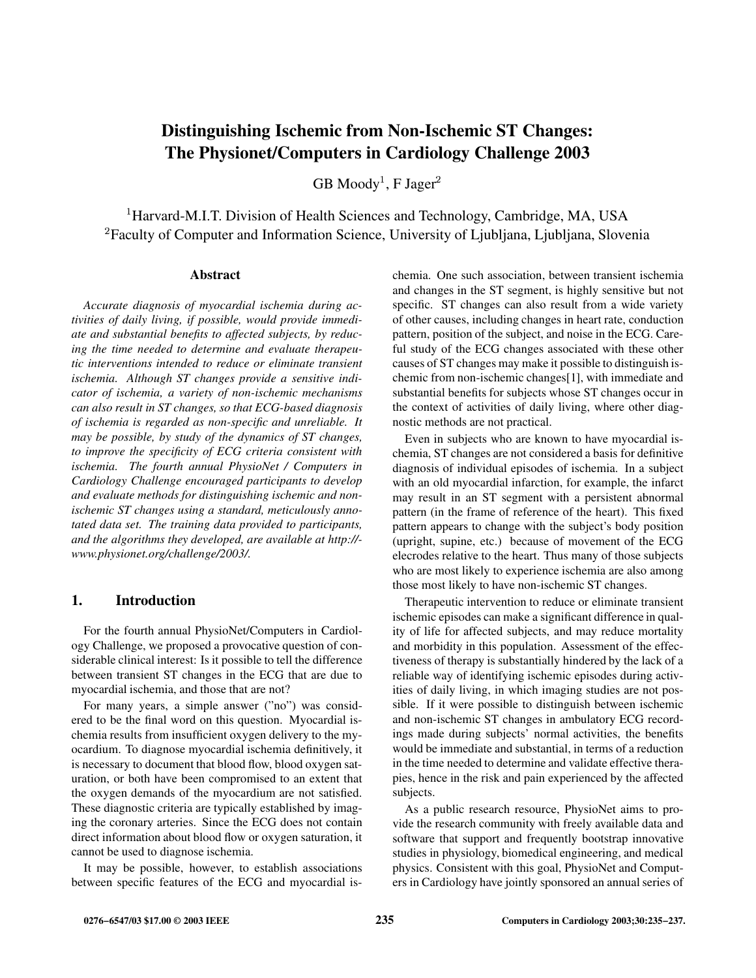# **Distinguishing Ischemic from Non-Ischemic ST Changes: The Physionet/Computers in Cardiology Challenge 2003**

 $\rm GB\ Moody^1,$   $\rm F\ Jager^2$ 

<sup>1</sup>Harvard-M.I.T. Division of Health Sciences and Technology, Cambridge, MA, USA  ${}^{2}$ Faculty of Computer and Information Science, University of Ljubljana, Ljubljana, Slovenia

#### **Abstract**

*Accurate diagnosis of myocardial ischemia during activities of daily living, if possible, would provide immediate and substantial benefits to affected subjects, by reducing the time needed to determine and evaluate therapeutic interventions intended to reduce or eliminate transient ischemia. Although ST changes provide a sensitive indicator of ischemia, a variety of non-ischemic mechanisms can also result in ST changes, so that ECG-based diagnosis of ischemia is regarded as non-specific and unreliable. It may be possible, by study of the dynamics of ST changes, to improve the specificity of ECG criteria consistent with ischemia. The fourth annual PhysioNet / Computers in Cardiology Challenge encouraged participants to develop and evaluate methods for distinguishing ischemic and nonischemic ST changes using a standard, meticulously annotated data set. The training data provided to participants, and the algorithms they developed, are available at http:// www.physionet.org/challenge/2003/.*

### **1. Introduction**

For the fourth annual PhysioNet/Computers in Cardiology Challenge, we proposed a provocative question of considerable clinical interest: Is it possible to tell the difference between transient ST changes in the ECG that are due to myocardial ischemia, and those that are not?

For many years, a simple answer ("no") was considered to be the final word on this question. Myocardial ischemia results from insufficient oxygen delivery to the myocardium. To diagnose myocardial ischemia definitively, it is necessary to document that blood flow, blood oxygen saturation, or both have been compromised to an extent that the oxygen demands of the myocardium are not satisfied. These diagnostic criteria are typically established by imaging the coronary arteries. Since the ECG does not contain direct information about blood flow or oxygen saturation, it cannot be used to diagnose ischemia.

It may be possible, however, to establish associations between specific features of the ECG and myocardial ischemia. One such association, between transient ischemia and changes in the ST segment, is highly sensitive but not specific. ST changes can also result from a wide variety of other causes, including changes in heart rate, conduction pattern, position of the subject, and noise in the ECG. Careful study of the ECG changes associated with these other causes of ST changes may make it possible to distinguish ischemic from non-ischemic changes[1], with immediate and substantial benefits for subjects whose ST changes occur in the context of activities of daily living, where other diagnostic methods are not practical.

Even in subjects who are known to have myocardial ischemia, ST changes are not considered a basis for definitive diagnosis of individual episodes of ischemia. In a subject with an old myocardial infarction, for example, the infarct may result in an ST segment with a persistent abnormal pattern (in the frame of reference of the heart). This fixed pattern appears to change with the subject's body position (upright, supine, etc.) because of movement of the ECG elecrodes relative to the heart. Thus many of those subjects who are most likely to experience ischemia are also among those most likely to have non-ischemic ST changes.

Therapeutic intervention to reduce or eliminate transient ischemic episodes can make a significant difference in quality of life for affected subjects, and may reduce mortality and morbidity in this population. Assessment of the effectiveness of therapy is substantially hindered by the lack of a reliable way of identifying ischemic episodes during activities of daily living, in which imaging studies are not possible. If it were possible to distinguish between ischemic and non-ischemic ST changes in ambulatory ECG recordings made during subjects' normal activities, the benefits would be immediate and substantial, in terms of a reduction in the time needed to determine and validate effective therapies, hence in the risk and pain experienced by the affected subjects.

As a public research resource, PhysioNet aims to provide the research community with freely available data and software that support and frequently bootstrap innovative studies in physiology, biomedical engineering, and medical physics. Consistent with this goal, PhysioNet and Computers in Cardiology have jointly sponsored an annual series of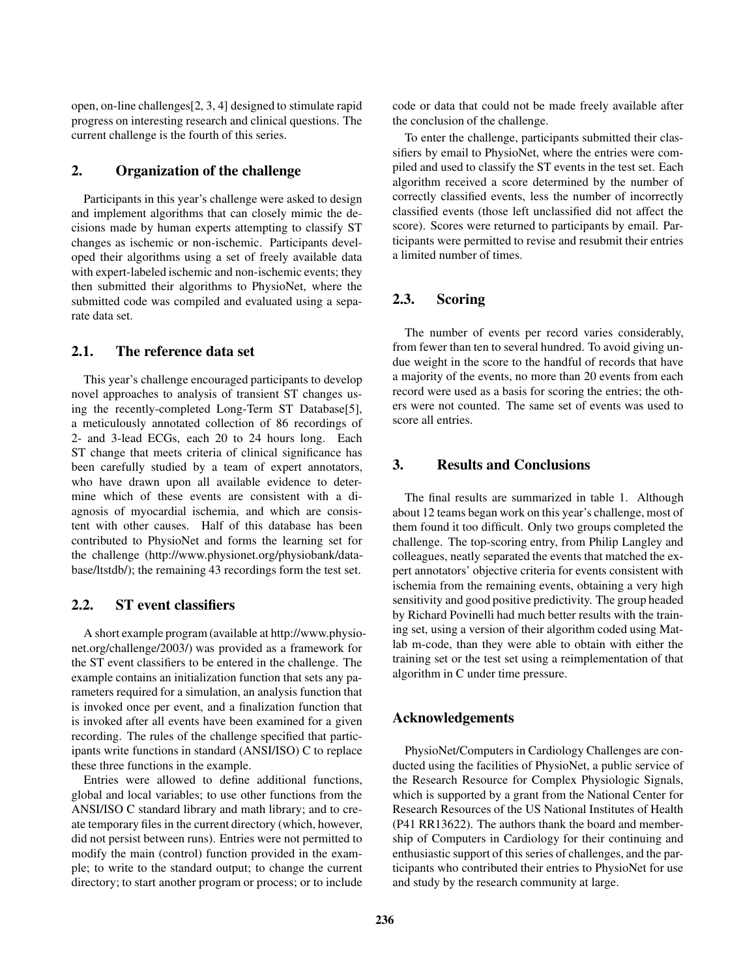open, on-line challenges[2, 3, 4] designed to stimulate rapid progress on interesting research and clinical questions. The current challenge is the fourth of this series.

### **2. Organization of the challenge**

Participants in this year's challenge were asked to design and implement algorithms that can closely mimic the decisions made by human experts attempting to classify ST changes as ischemic or non-ischemic. Participants developed their algorithms using a set of freely available data with expert-labeled ischemic and non-ischemic events; they then submitted their algorithms to PhysioNet, where the submitted code was compiled and evaluated using a separate data set.

### **2.1. The reference data set**

This year's challenge encouraged participants to develop novel approaches to analysis of transient ST changes using the recently-completed Long-Term ST Database[5], a meticulously annotated collection of 86 recordings of 2- and 3-lead ECGs, each 20 to 24 hours long. Each ST change that meets criteria of clinical significance has been carefully studied by a team of expert annotators, who have drawn upon all available evidence to determine which of these events are consistent with a diagnosis of myocardial ischemia, and which are consistent with other causes. Half of this database has been contributed to PhysioNet and forms the learning set for the challenge (http://www.physionet.org/physiobank/database/ltstdb/); the remaining 43 recordings form the test set.

## **2.2. ST event classifiers**

A short example program (available at http://www.physionet.org/challenge/2003/) was provided as a framework for the ST event classifiers to be entered in the challenge. The example contains an initialization function that sets any parameters required for a simulation, an analysis function that is invoked once per event, and a finalization function that is invoked after all events have been examined for a given recording. The rules of the challenge specified that participants write functions in standard (ANSI/ISO) C to replace these three functions in the example.

Entries were allowed to define additional functions, global and local variables; to use other functions from the ANSI/ISO C standard library and math library; and to create temporary files in the current directory (which, however, did not persist between runs). Entries were not permitted to modify the main (control) function provided in the example; to write to the standard output; to change the current directory; to start another program or process; or to include code or data that could not be made freely available after the conclusion of the challenge.

To enter the challenge, participants submitted their classifiers by email to PhysioNet, where the entries were compiled and used to classify the ST events in the test set. Each algorithm received a score determined by the number of correctly classified events, less the number of incorrectly classified events (those left unclassified did not affect the score). Scores were returned to participants by email. Participants were permitted to revise and resubmit their entries a limited number of times.

### **2.3. Scoring**

The number of events per record varies considerably, from fewer than ten to several hundred. To avoid giving undue weight in the score to the handful of records that have a majority of the events, no more than 20 events from each record were used as a basis for scoring the entries; the others were not counted. The same set of events was used to score all entries.

### **3. Results and Conclusions**

The final results are summarized in table 1. Although about 12 teams began work on this year's challenge, most of them found it too difficult. Only two groups completed the challenge. The top-scoring entry, from Philip Langley and colleagues, neatly separated the events that matched the expert annotators' objective criteria for events consistent with ischemia from the remaining events, obtaining a very high sensitivity and good positive predictivity. The group headed by Richard Povinelli had much better results with the training set, using a version of their algorithm coded using Matlab m-code, than they were able to obtain with either the training set or the test set using a reimplementation of that algorithm in C under time pressure.

### **Acknowledgements**

PhysioNet/Computers in Cardiology Challenges are conducted using the facilities of PhysioNet, a public service of the Research Resource for Complex Physiologic Signals, which is supported by a grant from the National Center for Research Resources of the US National Institutes of Health (P41 RR13622). The authors thank the board and membership of Computers in Cardiology for their continuing and enthusiastic support of this series of challenges, and the participants who contributed their entries to PhysioNet for use and study by the research community at large.